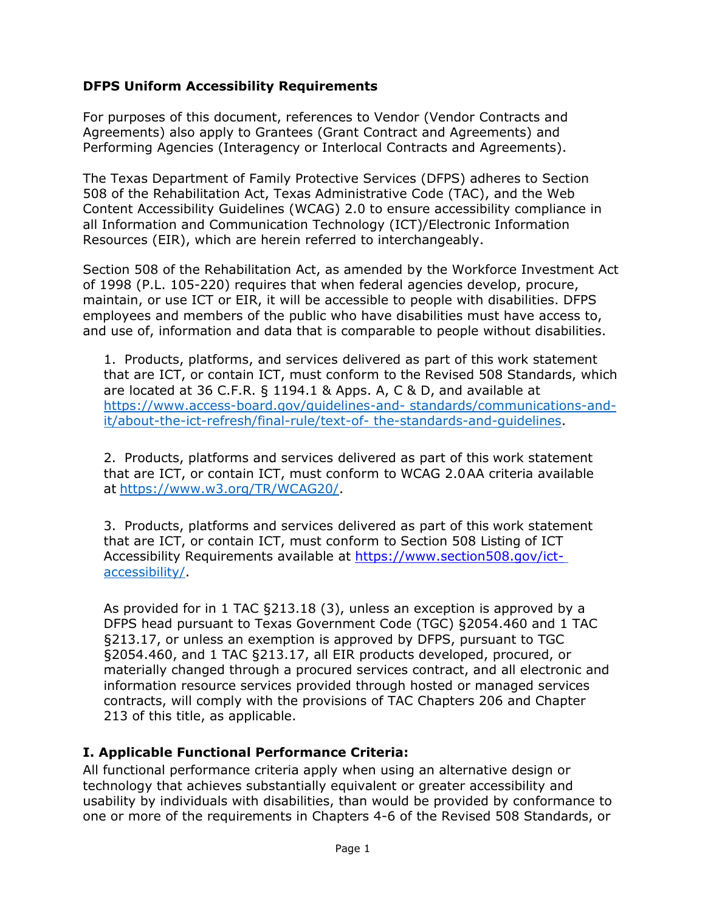## **DFPS Uniform Accessibility Requirements**

For purposes of this document, references to Vendor (Vendor Contracts and Agreements) also apply to Grantees (Grant Contract and Agreements) and Performing Agencies (Interagency or Interlocal Contracts and Agreements).

The Texas Department of Family Protective Services (DFPS) adheres to Section 508 of the Rehabilitation Act, Texas Administrative Code (TAC), and the Web Content Accessibility Guidelines (WCAG) 2.0 to ensure accessibility compliance in all Information and Communication Technology (ICT)/Electronic Information Resources (EIR), which are herein referred to interchangeably.

Section 508 of the Rehabilitation Act, as amended by the Workforce Investment Act of 1998 (P.L. 105-220) requires that when federal agencies develop, procure, maintain, or use ICT or EIR, it will be accessible to people with disabilities. DFPS employees and members of the public who have disabilities must have access to, and use of, information and data that is comparable to people without disabilities.

1. Products, platforms, and services delivered as part of this work statement that are ICT, or contain ICT, must conform to the Revised 508 Standards, which are located at 36 C.F.R. § 1194.1 & Apps. A, C & D, and available at [https://www.access-board.gov/guidelines-and-](https://www.access-board.gov/guidelines-and-standards/communications-and-it/about-the-ict-refresh/final-rule/text-of-the-standards-and-guidelines) [standards/communications-and](https://www.access-board.gov/guidelines-and-standards/communications-and-it/about-the-ict-refresh/final-rule/text-of-the-standards-and-guidelines)[it/about-the-ict-refresh/final-rule/text-of-](https://www.access-board.gov/guidelines-and-standards/communications-and-it/about-the-ict-refresh/final-rule/text-of-the-standards-and-guidelines) [the-standards-and-guidelines.](https://www.access-board.gov/guidelines-and-standards/communications-and-it/about-the-ict-refresh/final-rule/text-of-the-standards-and-guidelines)

2. Products, platforms and services delivered as part of this work statement that are ICT, or contain ICT, must conform to WCAG 2.0AA criteria available at [https://www.w3.org/TR/WCAG20/.](https://www.w3.org/TR/WCAG20/)

3. Products, platforms and services delivered as part of this work statement that are ICT, or contain ICT, must conform to Section 508 Listing of ICT Accessibility Requirements available at [https://www.section508.gov/ict](https://www.section508.gov/ict-)[accessibility/.](https://www.section508.gov/ict-accessibility/)

As provided for in 1 TAC §213.18 (3), unless an exception is approved by a DFPS head pursuant to Texas Government Code (TGC) §2054.460 and 1 TAC §213.17, or unless an exemption is approved by DFPS, pursuant to TGC §2054.460, and 1 TAC §213.17, all EIR products developed, procured, or materially changed through a procured services contract, and all electronic and information resource services provided through hosted or managed services contracts, will comply with the provisions of TAC Chapters 206 and Chapter 213 of this title, as applicable.

### **I. Applicable Functional Performance Criteria:**

All functional performance criteria apply when using an alternative design or technology that achieves substantially equivalent or greater accessibility and usability by individuals with disabilities, than would be provided by conformance to one or more of the requirements in Chapters 4-6 of the Revised 508 Standards, or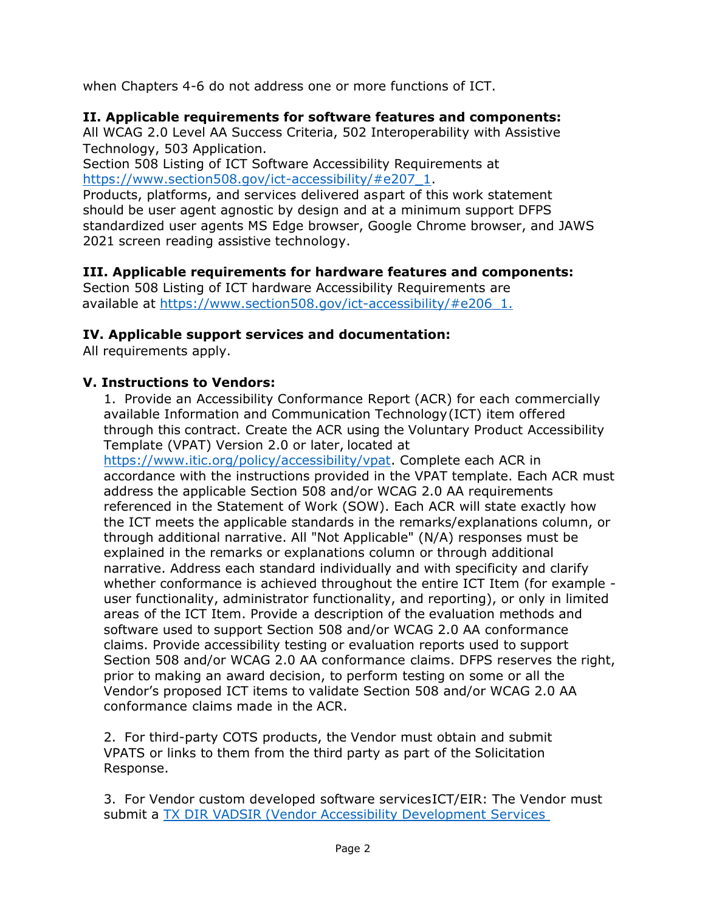when Chapters 4-6 do not address one or more functions of ICT.

## **II. Applicable requirements for software features and components:**

All WCAG 2.0 Level AA Success Criteria, 502 Interoperability with Assistive Technology, 503 Application.

Section 508 Listing of ICT Software Accessibility Requirements at [https://www.section508.gov/ict-accessibility/#e207\\_1.](https://www.section508.gov/ict-accessibility/%23e207_1)

Products, platforms, and services delivered aspart of this work statement should be user agent agnostic by design and at a minimum support DFPS standardized user agents MS Edge browser, Google Chrome browser, and JAWS 2021 screen reading assistive technology.

## **III. Applicable requirements for hardware features and components:**

Section 508 Listing of ICT hardware Accessibility Requirements are available at [https://www.section508.gov/ict-accessibility/#e206\\_1.](https://www.section508.gov/ict-accessibility/#e206_1)

## **IV. Applicable support services and documentation:**

All requirements apply.

#### **V. Instructions to Vendors:**

1. Provide an Accessibility Conformance Report (ACR) for each commercially available Information and Communication Technology(ICT) item offered through this contract. Create the ACR using the Voluntary Product Accessibility Template (VPAT) Version 2.0 or later, located at

[https://www.itic.org/policy/accessibility/vpat.](https://www.itic.org/policy/accessibility/vpat) Complete each ACR in accordance with the instructions provided in the VPAT template. Each ACR must address the applicable Section 508 and/or WCAG 2.0 AA requirements referenced in the Statement of Work (SOW). Each ACR will state exactly how the ICT meets the applicable standards in the remarks/explanations column, or through additional narrative. All "Not Applicable" (N/A) responses must be explained in the remarks or explanations column or through additional narrative. Address each standard individually and with specificity and clarify whether conformance is achieved throughout the entire ICT Item (for example user functionality, administrator functionality, and reporting), or only in limited areas of the ICT Item. Provide a description of the evaluation methods and software used to support Section 508 and/or WCAG 2.0 AA conformance claims. Provide accessibility testing or evaluation reports used to support Section 508 and/or WCAG 2.0 AA conformance claims. DFPS reserves the right, prior to making an award decision, to perform testing on some or all the Vendor's proposed ICT items to validate Section 508 and/or WCAG 2.0 AA conformance claims made in the ACR.

2. For third-party COTS products, the Vendor must obtain and submit VPATS or links to them from the third party as part of the Solicitation Response.

3. For Vendor custom developed software servicesICT/EIR: The Vendor must submit a TX DIR VADSIR [\(Vendor Accessibility Development](https://confluence.dfps.state.tx.us/download/attachments/35389668/DIR_VADSIR.docx?version=1&modificationDate=1616592460000&api=v2) Services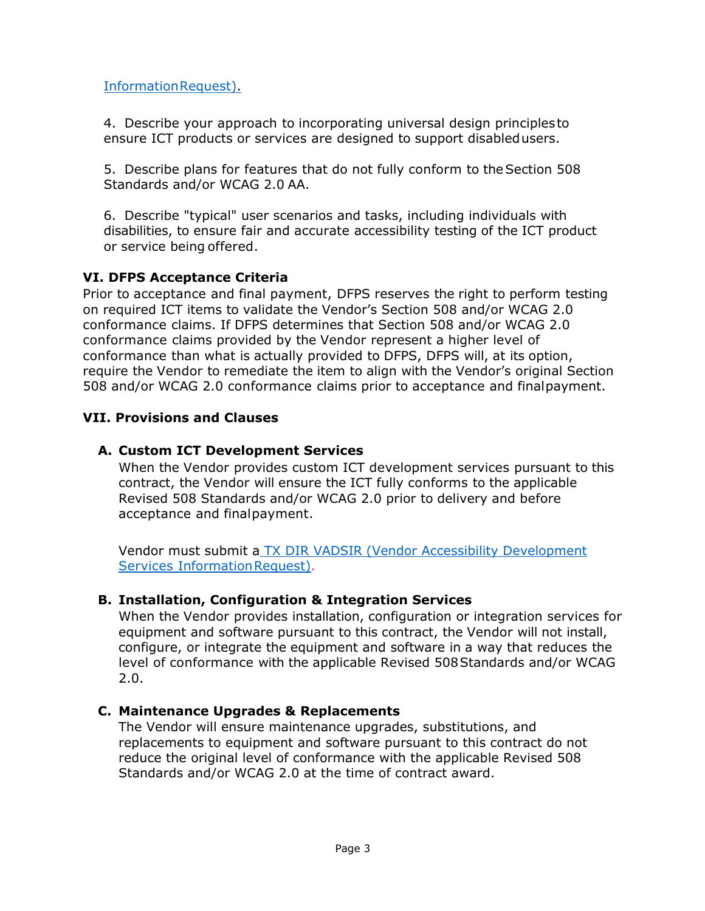[InformationRequest\).](https://confluence.dfps.state.tx.us/download/attachments/35389668/DIR_VADSIR.docx?version=1&modificationDate=1616592460000&api=v2)

4. Describe your approach to incorporating universal design principlesto ensure ICT products or services are designed to support disabledusers.

5. Describe plans for features that do not fully conform to theSection 508 Standards and/or WCAG 2.0 AA.

6. Describe "typical" user scenarios and tasks, including individuals with disabilities, to ensure fair and accurate accessibility testing of the ICT product or service being offered.

## **VI. DFPS Acceptance Criteria**

Prior to acceptance and final payment, DFPS reserves the right to perform testing on required ICT items to validate the Vendor's Section 508 and/or WCAG 2.0 conformance claims. If DFPS determines that Section 508 and/or WCAG 2.0 conformance claims provided by the Vendor represent a higher level of conformance than what is actually provided to DFPS, DFPS will, at its option, require the Vendor to remediate the item to align with the Vendor's original Section 508 and/or WCAG 2.0 conformance claims prior to acceptance and finalpayment.

# **VII. Provisions and Clauses**

# **A. Custom ICT Development Services**

When the Vendor provides custom ICT development services pursuant to this contract, the Vendor will ensure the ICT fully conforms to the applicable Revised 508 Standards and/or WCAG 2.0 prior to delivery and before acceptance and finalpayment.

Vendor must submit a TX DIR VADSIR [\(Vendor Accessibility Development](https://confluence.dfps.state.tx.us/download/attachments/35389668/DIR_VADSIR.docx?version=1&modificationDate=1616592460000&api=v2) Services Information Request).

## **B. Installation, Configuration & Integration Services**

When the Vendor provides installation, configuration or integration services for equipment and software pursuant to this contract, the Vendor will not install, configure, or integrate the equipment and software in a way that reduces the level of conformance with the applicable Revised 508Standards and/or WCAG 2.0.

## **C. Maintenance Upgrades & Replacements**

The Vendor will ensure maintenance upgrades, substitutions, and replacements to equipment and software pursuant to this contract do not reduce the original level of conformance with the applicable Revised 508 Standards and/or WCAG 2.0 at the time of contract award.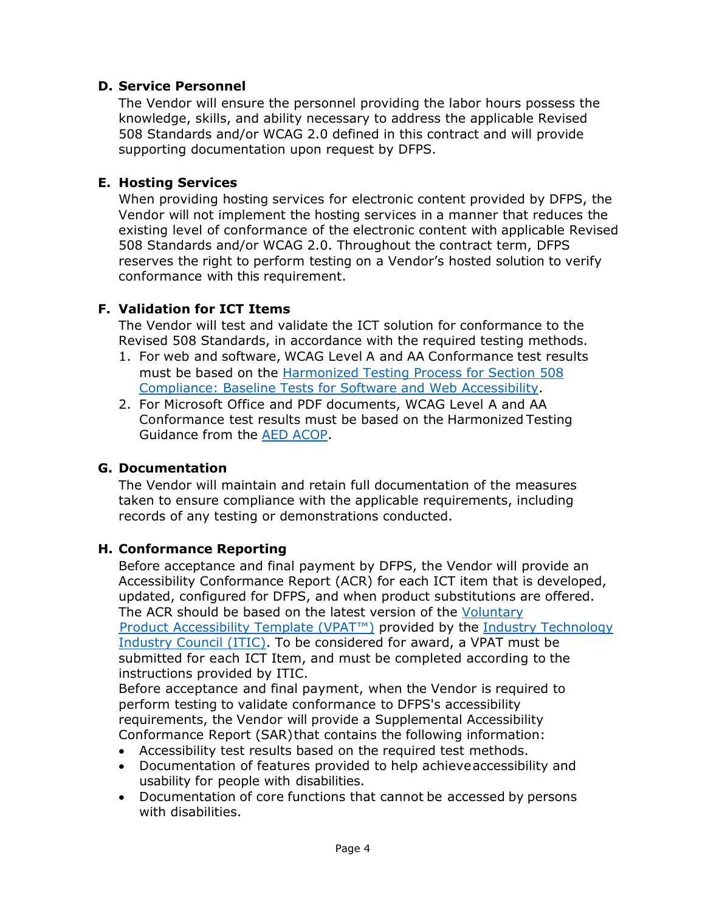## **D. Service Personnel**

The Vendor will ensure the personnel providing the labor hours possess the knowledge, skills, and ability necessary to address the applicable Revised 508 Standards and/or WCAG 2.0 defined in this contract and will provide supporting documentation upon request by DFPS.

### **E. Hosting Services**

When providing hosting services for electronic content provided by DFPS, the Vendor will not implement the hosting services in a manner that reduces the existing level of conformance of the electronic content with applicable Revised 508 Standards and/or WCAG 2.0. Throughout the contract term, DFPS reserves the right to perform testing on a Vendor's hosted solution to verify conformance with this requirement.

## **F. Validation for ICT Items**

The Vendor will test and validate the ICT solution for conformance to the Revised 508 Standards, in accordance with the required testing methods.

- 1. For web and software, WCAG Level A and AA Conformance test results must be based on the [Harmonized Testing Process for Section 508](https://www.dhs.gov/compliance-test-processes) [Compliance: Baseline Tests for Software and Web Accessibility.](https://www.dhs.gov/compliance-test-processes)
- 2. For Microsoft Office and PDF documents, WCAG Level A and AA Conformance test results must be based on the Harmonized Testing Guidance from the AED [ACOP.](https://www.section508.gov/test/documents/)

### **G. Documentation**

The Vendor will maintain and retain full documentation of the measures taken to ensure compliance with the applicable requirements, including records of any testing or demonstrations conducted.

### **H. Conformance Reporting**

Before acceptance and final payment by DFPS, the Vendor will provide an Accessibility Conformance Report (ACR) for each ICT item that is developed, updated, configured for DFPS, and when product substitutions are offered. The ACR should be based on the latest version of the [Voluntary](https://www.section508.gov/sell/vpat) Product [Accessibility Template \(VPAT™\)](https://www.section508.gov/sell/vpat) provided by the [Industry Technology](http://www.itic.org/policy/accessibility) [Industry Council \(ITIC\).](http://www.itic.org/policy/accessibility) To be considered for award, a VPAT must be submitted for each ICT Item, and must be completed according to the instructions provided by ITIC.

Before acceptance and final payment, when the Vendor is required to perform testing to validate conformance to DFPS's accessibility requirements, the Vendor will provide a Supplemental Accessibility Conformance Report (SAR)that contains the following information:

- Accessibility test results based on the required test methods.
- Documentation of features provided to help achieveaccessibility and usability for people with disabilities.
- Documentation of core functions that cannot be accessed by persons with disabilities.